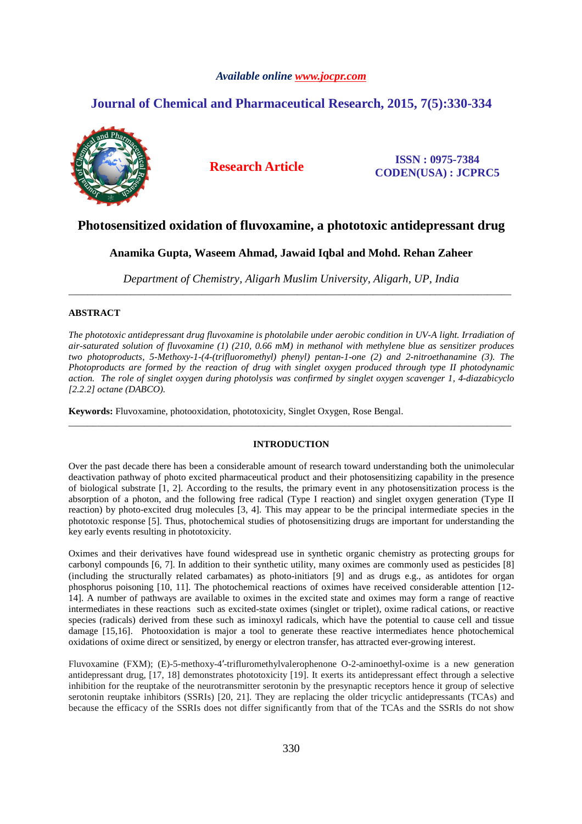# *Available online www.jocpr.com*

# **Journal of Chemical and Pharmaceutical Research, 2015, 7(5):330-334**



**Research Article ISSN : 0975-7384 CODEN(USA) : JCPRC5**

# **Photosensitized oxidation of fluvoxamine, a phototoxic antidepressant drug**

**Anamika Gupta, Waseem Ahmad, Jawaid Iqbal and Mohd. Rehan Zaheer** 

*Department of Chemistry, Aligarh Muslim University, Aligarh, UP, India*  \_\_\_\_\_\_\_\_\_\_\_\_\_\_\_\_\_\_\_\_\_\_\_\_\_\_\_\_\_\_\_\_\_\_\_\_\_\_\_\_\_\_\_\_\_\_\_\_\_\_\_\_\_\_\_\_\_\_\_\_\_\_\_\_\_\_\_\_\_\_\_\_\_\_\_\_\_\_\_\_\_\_\_\_\_\_\_\_\_\_\_\_\_

## **ABSTRACT**

*The phototoxic antidepressant drug fluvoxamine is photolabile under aerobic condition in UV-A light. Irradiation of air-saturated solution of fluvoxamine (1) (210, 0.66 mM) in methanol with methylene blue as sensitizer produces two photoproducts, 5-Methoxy-1-(4-(trifluoromethyl) phenyl) pentan-1-one (2) and 2-nitroethanamine (3). The Photoproducts are formed by the reaction of drug with singlet oxygen produced through type II photodynamic action. The role of singlet oxygen during photolysis was confirmed by singlet oxygen scavenger 1, 4-diazabicyclo [2.2.2] octane (DABCO).* 

**Keywords:** Fluvoxamine, photooxidation, phototoxicity, Singlet Oxygen, Rose Bengal.

## **INTRODUCTION**

\_\_\_\_\_\_\_\_\_\_\_\_\_\_\_\_\_\_\_\_\_\_\_\_\_\_\_\_\_\_\_\_\_\_\_\_\_\_\_\_\_\_\_\_\_\_\_\_\_\_\_\_\_\_\_\_\_\_\_\_\_\_\_\_\_\_\_\_\_\_\_\_\_\_\_\_\_\_\_\_\_\_\_\_\_\_\_\_\_\_\_\_\_

Over the past decade there has been a considerable amount of research toward understanding both the unimolecular deactivation pathway of photo excited pharmaceutical product and their photosensitizing capability in the presence of biological substrate  $[1, 2]$ . According to the results, the primary event in any photosensitization process is the absorption of a photon, and the following free radical (Type I reaction) and singlet oxygen generation (Type II reaction) by photo-excited drug molecules [3, 4]. This may appear to be the principal intermediate species in the phototoxic response [5]. Thus, photochemical studies of photosensitizing drugs are important for understanding the key early events resulting in phototoxicity.

Oximes and their derivatives have found widespread use in synthetic organic chemistry as protecting groups for carbonyl compounds [6, 7]. In addition to their synthetic utility, many oximes are commonly used as pesticides [8] (including the structurally related carbamates) as photo-initiators [9] and as drugs e.g., as antidotes for organ phosphorus poisoning [10, 11]. The photochemical reactions of oximes have received considerable attention [12- 14]. A number of pathways are available to oximes in the excited state and oximes may form a range of reactive intermediates in these reactions such as excited-state oximes (singlet or triplet), oxime radical cations, or reactive species (radicals) derived from these such as iminoxyl radicals, which have the potential to cause cell and tissue damage [15,16]. Photooxidation is major a tool to generate these reactive intermediates hence photochemical oxidations of oxime direct or sensitized, by energy or electron transfer, has attracted ever-growing interest.

Fluvoxamine (FXM); (E)-5-methoxy-4′-trifluromethylvalerophenone O-2-aminoethyl-oxime is a new generation antidepressant drug, [17, 18] demonstrates phototoxicity [19]. It exerts its antidepressant effect through a selective inhibition for the reuptake of the neurotransmitter serotonin by the presynaptic receptors hence it group of selective serotonin reuptake inhibitors (SSRIs) [20, 21]. They are replacing the older tricyclic antidepressants (TCAs) and because the efficacy of the SSRIs does not differ significantly from that of the TCAs and the SSRIs do not show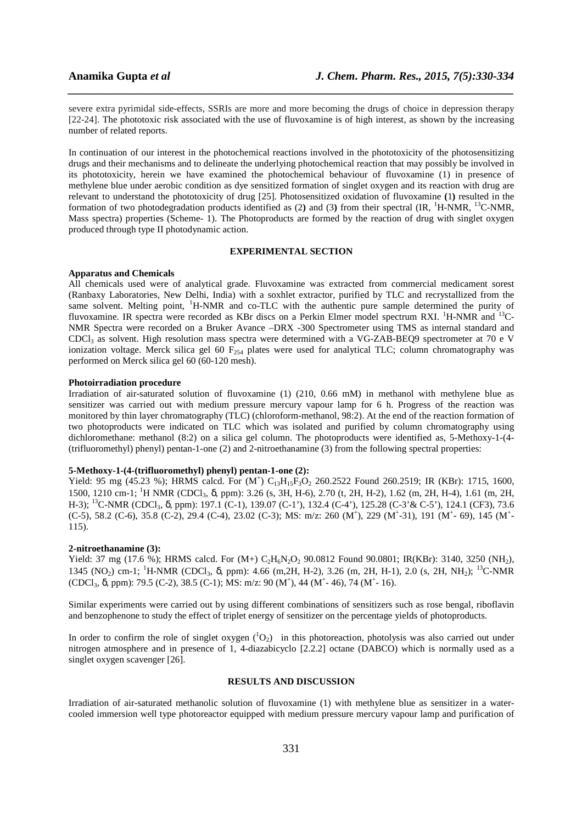severe extra pyrimidal side-effects, SSRIs are more and more becoming the drugs of choice in depression therapy [22-24]. The phototoxic risk associated with the use of fluvoxamine is of high interest, as shown by the increasing number of related reports.

*\_\_\_\_\_\_\_\_\_\_\_\_\_\_\_\_\_\_\_\_\_\_\_\_\_\_\_\_\_\_\_\_\_\_\_\_\_\_\_\_\_\_\_\_\_\_\_\_\_\_\_\_\_\_\_\_\_\_\_\_\_\_\_\_\_\_\_\_\_\_\_\_\_\_\_\_\_\_*

In continuation of our interest in the photochemical reactions involved in the phototoxicity of the photosensitizing drugs and their mechanisms and to delineate the underlying photochemical reaction that may possibly be involved in its phototoxicity, herein we have examined the photochemical behaviour of fluvoxamine (1) in presence of methylene blue under aerobic condition as dye sensitized formation of singlet oxygen and its reaction with drug are relevant to understand the phototoxicity of drug [25]. Photosensitized oxidation of fluvoxamine **(**1**)** resulted in the formation of two photodegradation products identified as (2**)** and (3**)** from their spectral (IR, <sup>1</sup>H-NMR, <sup>13</sup>C-NMR, Mass spectra) properties (Scheme- 1). The Photoproducts are formed by the reaction of drug with singlet oxygen produced through type II photodynamic action.

### **EXPERIMENTAL SECTION**

#### **Apparatus and Chemicals**

All chemicals used were of analytical grade. Fluvoxamine was extracted from commercial medicament sorest (Ranbaxy Laboratories, New Delhi, India) with a soxhlet extractor, purified by TLC and recrystallized from the same solvent. Melting point, <sup>1</sup>H-NMR and co-TLC with the authentic pure sample determined the purity of fluvoxamine. IR spectra were recorded as KBr discs on a Perkin Elmer model spectrum RXI. <sup>1</sup>H-NMR and <sup>13</sup>C-NMR Spectra were recorded on a Bruker Avance –DRX -300 Spectrometer using TMS as internal standard and CDCl3 as solvent. High resolution mass spectra were determined with a VG-ZAB-BEQ9 spectrometer at 70 e V ionization voltage. Merck silica gel 60  $F_{254}$  plates were used for analytical TLC; column chromatography was performed on Merck silica gel 60 (60-120 mesh).

#### **Photoirradiation procedure**

Irradiation of air-saturated solution of fluvoxamine (1) (210, 0.66 mM) in methanol with methylene blue as sensitizer was carried out with medium pressure mercury vapour lamp for 6 h. Progress of the reaction was monitored by thin layer chromatography (TLC) (chloroform-methanol, 98:2). At the end of the reaction formation of two photoproducts were indicated on TLC which was isolated and purified by column chromatography using dichloromethane: methanol (8:2) on a silica gel column. The photoproducts were identified as, 5-Methoxy-1-(4- (trifluoromethyl) phenyl) pentan-1-one (2) and 2-nitroethanamine (3) from the following spectral properties:

#### **5-Methoxy-1-(4-(trifluoromethyl) phenyl) pentan-1-one (2):**

Yield: 95 mg (45.23 %); HRMS calcd. For  $(M^{\dagger})$  C<sub>13</sub>H<sub>15</sub>F<sub>3</sub>O<sub>2</sub> 260.2522 Found 260.2519; IR (KBr): 1715, 1600, 1500, 1210 cm-1; <sup>1</sup>H NMR (CDCl3, δ, ppm): 3.26 (s, 3H, H-6), 2.70 (t, 2H, H-2), 1.62 (m, 2H, H-4), 1.61 (m, 2H, H-3); <sup>13</sup>C-NMR (CDCl<sub>3</sub>, δ, ppm): 197.1 (C-1), 139.07 (C-1'), 132.4 (C-4'), 125.28 (C-3' & C-5'), 124.1 (CF3), 73.6  $(C-5)$ , 58.2  $(C-6)$ , 35.8  $(C-2)$ , 29.4  $(C-4)$ , 23.02  $(C-3)$ ; MS: m/z: 260  $(M^+)$ , 229  $(M^+$ -31), 191  $(M^+$ -69), 145  $(M^+$ -115).

#### **2-nitroethanamine (3):**

Yield: 37 mg (17.6 %); HRMS calcd. For (M+) C<sub>2</sub>H<sub>6</sub>N<sub>2</sub>O<sub>2</sub> 90.0812 Found 90.0801; IR(KBr): 3140, 3250 (NH<sub>2</sub>), 1345 (NO<sub>2</sub>) cm-1; <sup>1</sup>H-NMR (CDCl<sub>3</sub>, δ, ppm): 4.66 (m, 2H, H-2), 3.26 (m, 2H, H-1), 2.0 (s, 2H, NH<sub>2</sub>); <sup>13</sup>C-NMR (CDCl<sub>3</sub>,  $\delta$ , ppm): 79.5 (C-2), 38.5 (C-1); MS: m/z: 90 (M<sup>+</sup>), 44 (M<sup>+</sup>-46), 74 (M<sup>+</sup>-16).

Similar experiments were carried out by using different combinations of sensitizers such as rose bengal, riboflavin and benzophenone to study the effect of triplet energy of sensitizer on the percentage yields of photoproducts.

In order to confirm the role of singlet oxygen  $(^1O_2)$  in this photoreaction, photolysis was also carried out under nitrogen atmosphere and in presence of 1, 4-diazabicyclo [2.2.2] octane (DABCO) which is normally used as a singlet oxygen scavenger [26].

### **RESULTS AND DISCUSSION**

Irradiation of air-saturated methanolic solution of fluvoxamine (1) with methylene blue as sensitizer in a watercooled immersion well type photoreactor equipped with medium pressure mercury vapour lamp and purification of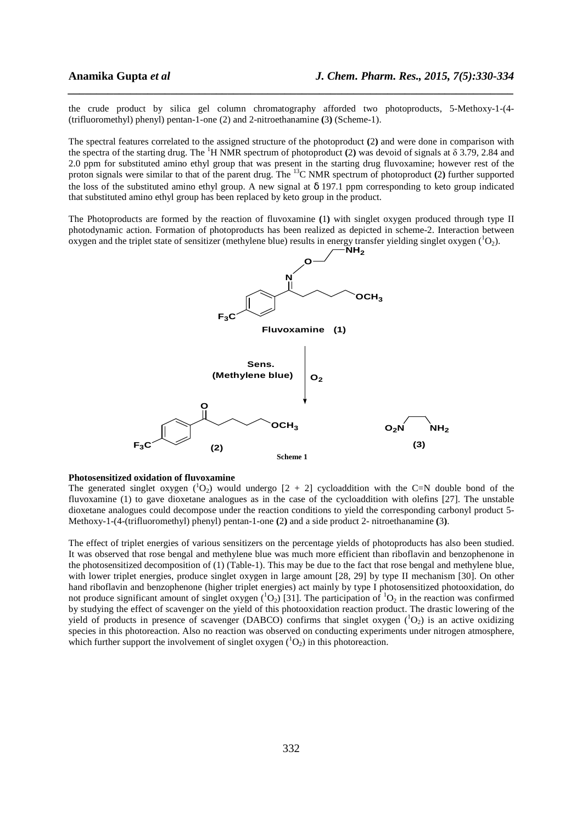the crude product by silica gel column chromatography afforded two photoproducts, 5-Methoxy-1-(4- (trifluoromethyl) phenyl) pentan-1-one (2) and 2-nitroethanamine **(**3**)** (Scheme-1).

*\_\_\_\_\_\_\_\_\_\_\_\_\_\_\_\_\_\_\_\_\_\_\_\_\_\_\_\_\_\_\_\_\_\_\_\_\_\_\_\_\_\_\_\_\_\_\_\_\_\_\_\_\_\_\_\_\_\_\_\_\_\_\_\_\_\_\_\_\_\_\_\_\_\_\_\_\_\_*

The spectral features correlated to the assigned structure of the photoproduct **(**2**)** and were done in comparison with the spectra of the starting drug. The <sup>1</sup>H NMR spectrum of photoproduct **(**2**)** was devoid of signals at δ 3.79, 2.84 and 2.0 ppm for substituted amino ethyl group that was present in the starting drug fluvoxamine; however rest of the proton signals were similar to that of the parent drug. The <sup>13</sup>C NMR spectrum of photoproduct **(**2**)** further supported the loss of the substituted amino ethyl group. A new signal at δ 197.1 ppm corresponding to keto group indicated that substituted amino ethyl group has been replaced by keto group in the product.

The Photoproducts are formed by the reaction of fluvoxamine **(**1**)** with singlet oxygen produced through type II photodynamic action. Formation of photoproducts has been realized as depicted in scheme-2. Interaction between oxygen and the triplet state of sensitizer (methylene blue) results in energy transfer yielding singlet oxygen  $(^{1}O_{2})$ .



#### **Photosensitized oxidation of fluvoxamine**

The generated singlet oxygen  $(^1O_2)$  would undergo  $[2 + 2]$  cycloaddition with the C=N double bond of the fluvoxamine (1) to gave dioxetane analogues as in the case of the cycloaddition with olefins [27]. The unstable dioxetane analogues could decompose under the reaction conditions to yield the corresponding carbonyl product 5- Methoxy-1-(4-(trifluoromethyl) phenyl) pentan-1-one **(**2**)** and a side product 2- nitroethanamine **(**3**)**.

The effect of triplet energies of various sensitizers on the percentage yields of photoproducts has also been studied. It was observed that rose bengal and methylene blue was much more efficient than riboflavin and benzophenone in the photosensitized decomposition of (1) (Table-1). This may be due to the fact that rose bengal and methylene blue, with lower triplet energies, produce singlet oxygen in large amount [28, 29] by type II mechanism [30]. On other hand riboflavin and benzophenone (higher triplet energies) act mainly by type I photosensitized photooxidation, do not produce significant amount of singlet oxygen  $({}^{1}O_{2})$  [31]. The participation of  ${}^{1}O_{2}$  in the reaction was confirmed by studying the effect of scavenger on the yield of this photooxidation reaction product. The drastic lowering of the yield of products in presence of scavenger (DABCO) confirms that singlet oxygen  $(^1O_2)$  is an active oxidizing species in this photoreaction. Also no reaction was observed on conducting experiments under nitrogen atmosphere, which further support the involvement of singlet oxygen  $(^1O_2)$  in this photoreaction.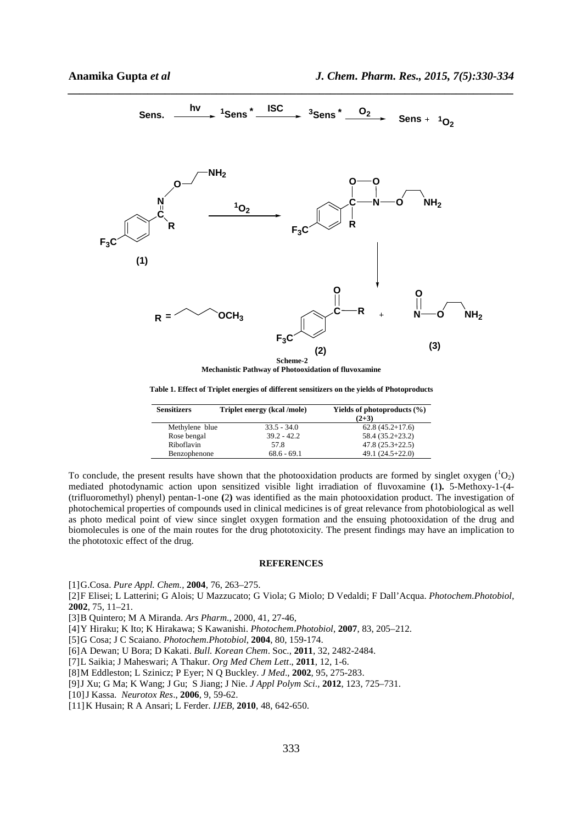

*\_\_\_\_\_\_\_\_\_\_\_\_\_\_\_\_\_\_\_\_\_\_\_\_\_\_\_\_\_\_\_\_\_\_\_\_\_\_\_\_\_\_\_\_\_\_\_\_\_\_\_\_\_\_\_\_\_\_\_\_\_\_\_\_\_\_\_\_\_\_\_\_\_\_\_\_\_\_*

**Mechanistic Pathway of Photooxidation of fluvoxamine** 

**Table 1. Effect of Triplet energies of different sensitizers on the yields of Photoproducts** 

| <b>Sensitizers</b> | Triplet energy (kcal/mole) | Yields of photoproducts $(\% )$<br>$(2+3)$ |
|--------------------|----------------------------|--------------------------------------------|
| Methylene blue     | $33.5 - 34.0$              | $62.8(45.2+17.6)$                          |
| Rose bengal        | $39.2 - 42.2$              | $58.4(35.2+23.2)$                          |
| Riboflavin         | 57.8                       | $47.8(25.3+22.5)$                          |
| Benzophenone       | $68.6 - 69.1$              | $49.1(24.5+22.0)$                          |

To conclude, the present results have shown that the photooxidation products are formed by singlet oxygen  $(^1O_2)$ mediated photodynamic action upon sensitized visible light irradiation of fluvoxamine **(**1**).** 5-Methoxy-1-(4- (trifluoromethyl) phenyl) pentan-1-one **(**2**)** was identified as the main photooxidation product. The investigation of photochemical properties of compounds used in clinical medicines is of great relevance from photobiological as well as photo medical point of view since singlet oxygen formation and the ensuing photooxidation of the drug and biomolecules is one of the main routes for the drug phototoxicity. The present findings may have an implication to the phototoxic effect of the drug.

#### **REFERENCES**

[1]G.Cosa. *Pure Appl. Chem.,* **2004**, 76, 263–275.

- [2]F Elisei; L Latterini; G Alois; U Mazzucato; G Viola; G Miolo; D Vedaldi; F Dall'Acqua. *Photochem.Photobiol*, **2002**, 75, 11–21.
- [3]B Quintero; M A Miranda. *Ars Pharm*., 2000, 41, 27-46,
- [4]Y Hiraku; K Ito; K Hirakawa; S Kawanishi. *Photochem.Photobiol*, **2007**, 83, 205–212.
- [5]G Cosa; J C Scaiano. *Photochem.Photobiol*, **2004**, 80, 159-174.
- [6]A Dewan; U Bora; D Kakati. *Bull. Korean Chem*. Soc., **2011**, 32, 2482-2484.
- [7]L Saikia; J Maheswari; A Thakur. *Org Med Chem Lett*., **2011**, 12, 1-6.
- [8]M Eddleston; L Szinicz; P Eyer; N Q Buckley. *J Med*., **2002**, 95, 275-283.
- [9]J Xu; G Ma; K Wang; J Gu; S Jiang; J Nie. *J Appl Polym Sci*., **2012**, 123, 725–731.
- [10]J Kassa. *Neurotox Res*., **2006**, 9, 59-62.
- [11]K Husain; R A Ansari; L Ferder. *IJEB*, **2010**, 48, 642-650.